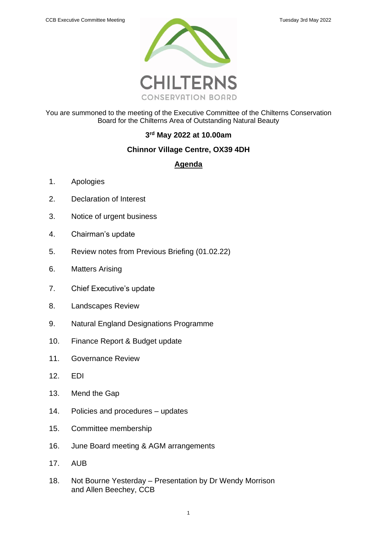

You are summoned to the meeting of the Executive Committee of the Chilterns Conservation Board for the Chilterns Area of Outstanding Natural Beauty

## **3 rd May 2022 at 10.00am**

## **Chinnor Village Centre, OX39 4DH**

## **Agenda**

- 1. Apologies
- 2. Declaration of Interest
- 3. Notice of urgent business
- 4. Chairman's update
- 5. [Review notes from](#page-2-0) Previous Briefing (01.02.22)
- 6. Matters Arising
- 7. Chief Executive's update
- 8. Landscapes Review
- 9. Natural England Designations Programme
- 10. Finance Report & Budget update
- 11. Governance Review
- 12. EDI
- 13. Mend the Gap
- 14. Policies and procedures updates
- 15. Committee membership
- 16. June Board meeting & AGM arrangements
- 17. AUB
- 18. Not Bourne Yesterday Presentation by Dr Wendy Morrison and Allen Beechey, CCB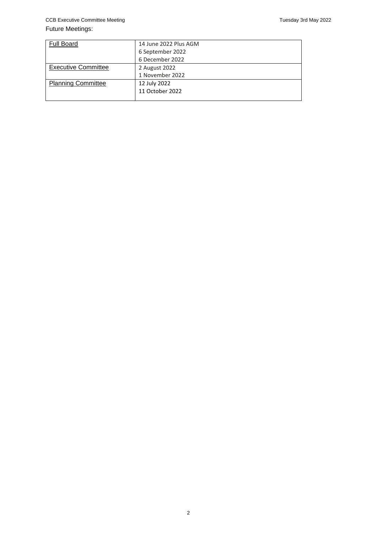#### Future Meetings:

| <b>Full Board</b>          | 14 June 2022 Plus AGM |
|----------------------------|-----------------------|
|                            | 6 September 2022      |
|                            | 6 December 2022       |
| <b>Executive Committee</b> | 2 August 2022         |
|                            | 1 November 2022       |
| <b>Planning Committee</b>  | 12 July 2022          |
|                            | 11 October 2022       |
|                            |                       |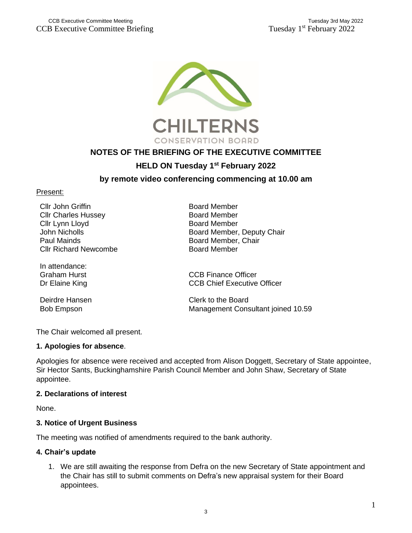<span id="page-2-0"></span>

# **NOTES OF THE BRIEFING OF THE EXECUTIVE COMMITTEE**

## **HELD ON Tuesday 1 st February 2022**

### **by remote video conferencing commencing at 10.00 am**

#### Present:

Cllr John Griffin Cllr Charles Hussey Cllr Lynn Lloyd John Nicholls Paul Mainds Cllr Richard Newcombe

In attendance: Graham Hurst Dr Elaine King

Deirdre Hansen

Board Member Board Member Board Member Board Member, Deputy Chair Board Member, Chair Board Member

CCB Finance Officer CCB Chief Executive Officer

Clerk to the Board Bob Empson Management Consultant joined 10.59

The Chair welcomed all present.

#### **1. Apologies for absence**.

Apologies for absence were received and accepted from Alison Doggett, Secretary of State appointee, Sir Hector Sants, Buckinghamshire Parish Council Member and John Shaw, Secretary of State appointee.

#### **2. Declarations of interest**

None.

#### **3. Notice of Urgent Business**

The meeting was notified of amendments required to the bank authority.

#### **4. Chair's update**

1. We are still awaiting the response from Defra on the new Secretary of State appointment and the Chair has still to submit comments on Defra's new appraisal system for their Board appointees.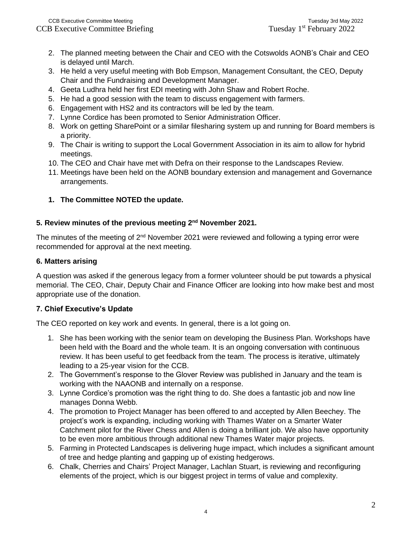- 2. The planned meeting between the Chair and CEO with the Cotswolds AONB's Chair and CEO is delayed until March.
- 3. He held a very useful meeting with Bob Empson, Management Consultant, the CEO, Deputy Chair and the Fundraising and Development Manager.
- 4. Geeta Ludhra held her first EDI meeting with John Shaw and Robert Roche.
- 5. He had a good session with the team to discuss engagement with farmers.
- 6. Engagement with HS2 and its contractors will be led by the team.
- 7. Lynne Cordice has been promoted to Senior Administration Officer.
- 8. Work on getting SharePoint or a similar filesharing system up and running for Board members is a priority.
- 9. The Chair is writing to support the Local Government Association in its aim to allow for hybrid meetings.
- 10. The CEO and Chair have met with Defra on their response to the Landscapes Review.
- 11. Meetings have been held on the AONB boundary extension and management and Governance arrangements.

## **1. The Committee NOTED the update.**

## **5. Review minutes of the previous meeting 2nd November 2021.**

The minutes of the meeting of  $2<sup>nd</sup>$  November 2021 were reviewed and following a typing error were recommended for approval at the next meeting.

### **6. Matters arising**

A question was asked if the generous legacy from a former volunteer should be put towards a physical memorial. The CEO, Chair, Deputy Chair and Finance Officer are looking into how make best and most appropriate use of the donation.

### **7. Chief Executive's Update**

The CEO reported on key work and events. In general, there is a lot going on.

- 1. She has been working with the senior team on developing the Business Plan. Workshops have been held with the Board and the whole team. It is an ongoing conversation with continuous review. It has been useful to get feedback from the team. The process is iterative, ultimately leading to a 25-year vision for the CCB.
- 2. The Government's response to the Glover Review was published in January and the team is working with the NAAONB and internally on a response.
- 3. Lynne Cordice's promotion was the right thing to do. She does a fantastic job and now line manages Donna Webb.
- 4. The promotion to Project Manager has been offered to and accepted by Allen Beechey. The project's work is expanding, including working with Thames Water on a Smarter Water Catchment pilot for the River Chess and Allen is doing a brilliant job. We also have opportunity to be even more ambitious through additional new Thames Water major projects.
- 5. Farming in Protected Landscapes is delivering huge impact, which includes a significant amount of tree and hedge planting and gapping up of existing hedgerows.
- 6. Chalk, Cherries and Chairs' Project Manager, Lachlan Stuart, is reviewing and reconfiguring elements of the project, which is our biggest project in terms of value and complexity.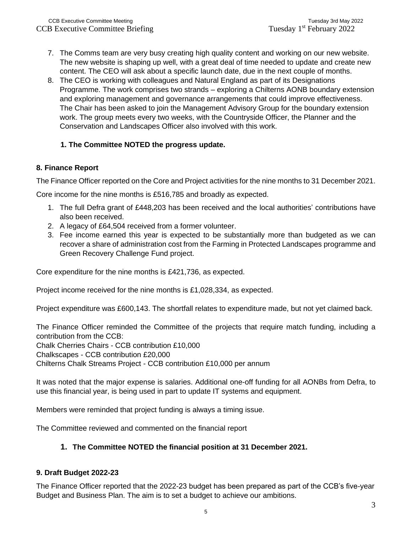- 7. The Comms team are very busy creating high quality content and working on our new website. The new website is shaping up well, with a great deal of time needed to update and create new content. The CEO will ask about a specific launch date, due in the next couple of months.
- 8. The CEO is working with colleagues and Natural England as part of its Designations Programme. The work comprises two strands – exploring a Chilterns AONB boundary extension and exploring management and governance arrangements that could improve effectiveness. The Chair has been asked to join the Management Advisory Group for the boundary extension work. The group meets every two weeks, with the Countryside Officer, the Planner and the Conservation and Landscapes Officer also involved with this work.

### **1. The Committee NOTED the progress update.**

#### **8. Finance Report**

The Finance Officer reported on the Core and Project activities for the nine months to 31 December 2021.

Core income for the nine months is £516,785 and broadly as expected.

- 1. The full Defra grant of £448,203 has been received and the local authorities' contributions have also been received.
- 2. A legacy of £64,504 received from a former volunteer.
- 3. Fee income earned this year is expected to be substantially more than budgeted as we can recover a share of administration cost from the Farming in Protected Landscapes programme and Green Recovery Challenge Fund project.

Core expenditure for the nine months is £421,736, as expected.

Project income received for the nine months is £1,028,334, as expected.

Project expenditure was £600,143. The shortfall relates to expenditure made, but not yet claimed back.

The Finance Officer reminded the Committee of the projects that require match funding, including a contribution from the CCB:

Chalk Cherries Chairs - CCB contribution £10,000

Chalkscapes - CCB contribution £20,000

Chilterns Chalk Streams Project - CCB contribution £10,000 per annum

It was noted that the major expense is salaries. Additional one-off funding for all AONBs from Defra, to use this financial year, is being used in part to update IT systems and equipment.

Members were reminded that project funding is always a timing issue.

The Committee reviewed and commented on the financial report

### **1. The Committee NOTED the financial position at 31 December 2021.**

### **9. Draft Budget 2022-23**

The Finance Officer reported that the 2022-23 budget has been prepared as part of the CCB's five-year Budget and Business Plan. The aim is to set a budget to achieve our ambitions.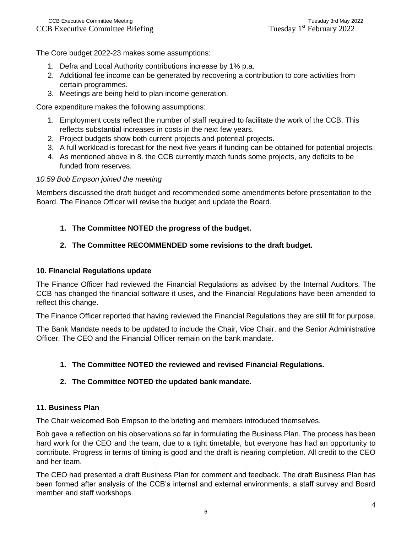The Core budget 2022-23 makes some assumptions:

- 1. Defra and Local Authority contributions increase by 1% p.a.
- 2. Additional fee income can be generated by recovering a contribution to core activities from certain programmes.
- 3. Meetings are being held to plan income generation.

Core expenditure makes the following assumptions:

- 1. Employment costs reflect the number of staff required to facilitate the work of the CCB. This reflects substantial increases in costs in the next few years.
- 2. Project budgets show both current projects and potential projects.
- 3. A full workload is forecast for the next five years if funding can be obtained for potential projects.
- 4. As mentioned above in 8. the CCB currently match funds some projects, any deficits to be funded from reserves.

#### *10.59 Bob Empson joined the meeting*

Members discussed the draft budget and recommended some amendments before presentation to the Board. The Finance Officer will revise the budget and update the Board.

### **1. The Committee NOTED the progress of the budget.**

#### **2. The Committee RECOMMENDED some revisions to the draft budget.**

#### **10. Financial Regulations update**

The Finance Officer had reviewed the Financial Regulations as advised by the Internal Auditors. The CCB has changed the financial software it uses, and the Financial Regulations have been amended to reflect this change.

The Finance Officer reported that having reviewed the Financial Regulations they are still fit for purpose.

The Bank Mandate needs to be updated to include the Chair, Vice Chair, and the Senior Administrative Officer. The CEO and the Financial Officer remain on the bank mandate.

### **1. The Committee NOTED the reviewed and revised Financial Regulations.**

### **2. The Committee NOTED the updated bank mandate.**

#### **11. Business Plan**

The Chair welcomed Bob Empson to the briefing and members introduced themselves.

Bob gave a reflection on his observations so far in formulating the Business Plan. The process has been hard work for the CEO and the team, due to a tight timetable, but everyone has had an opportunity to contribute. Progress in terms of timing is good and the draft is nearing completion. All credit to the CEO and her team.

The CEO had presented a draft Business Plan for comment and feedback. The draft Business Plan has been formed after analysis of the CCB's internal and external environments, a staff survey and Board member and staff workshops.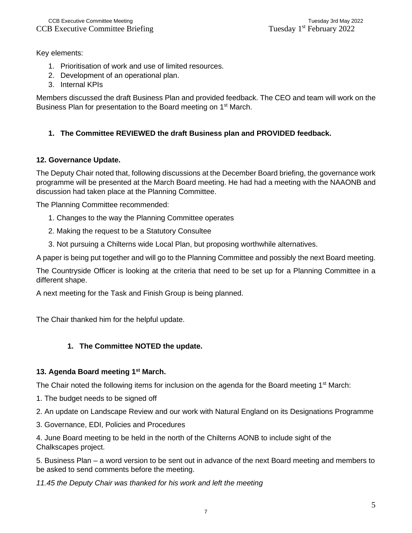Key elements:

- 1. Prioritisation of work and use of limited resources.
- 2. Development of an operational plan.
- 3. Internal KPIs

Members discussed the draft Business Plan and provided feedback. The CEO and team will work on the Business Plan for presentation to the Board meeting on 1<sup>st</sup> March.

## **1. The Committee REVIEWED the draft Business plan and PROVIDED feedback.**

### **12. Governance Update.**

The Deputy Chair noted that, following discussions at the December Board briefing, the governance work programme will be presented at the March Board meeting. He had had a meeting with the NAAONB and discussion had taken place at the Planning Committee.

The Planning Committee recommended:

- 1. Changes to the way the Planning Committee operates
- 2. Making the request to be a Statutory Consultee
- 3. Not pursuing a Chilterns wide Local Plan, but proposing worthwhile alternatives.

A paper is being put together and will go to the Planning Committee and possibly the next Board meeting.

The Countryside Officer is looking at the criteria that need to be set up for a Planning Committee in a different shape.

A next meeting for the Task and Finish Group is being planned.

The Chair thanked him for the helpful update.

### **1. The Committee NOTED the update.**

### **13. Agenda Board meeting 1st March.**

The Chair noted the following items for inclusion on the agenda for the Board meeting 1<sup>st</sup> March:

- 1. The budget needs to be signed off
- 2. An update on Landscape Review and our work with Natural England on its Designations Programme
- 3. Governance, EDI, Policies and Procedures

4. June Board meeting to be held in the north of the Chilterns AONB to include sight of the Chalkscapes project.

5. Business Plan – a word version to be sent out in advance of the next Board meeting and members to be asked to send comments before the meeting.

*11.45 the Deputy Chair was thanked for his work and left the meeting*